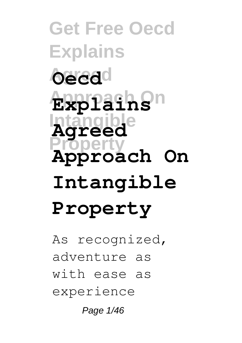**Get Free Oecd Explains Oecd**<sup>d</sup> **Approach On Explains Intangible Agreed Property Approach On Intangible Property**

As recognized, adventure as with ease as experience

Page 1/46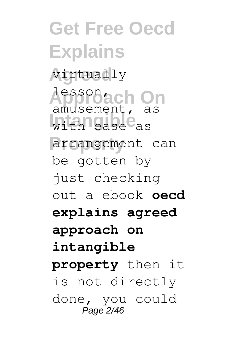**Get Free Oecd Explains Agreed** virtually **Approach On** lesson, with ease as arrangement can amusement, as be gotten by just checking out a ebook **oecd explains agreed approach on intangible property** then it is not directly done, you could Page 2/46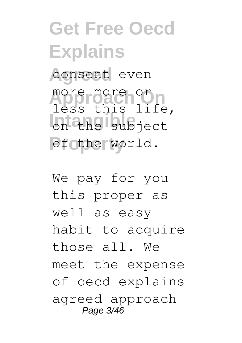**Get Free Oecd Explains** consent even more more or **Intangible Pfothe world.** less this life,

We pay for you this proper as well as easy habit to acquire those all. We meet the expense of oecd explains agreed approach Page 3/46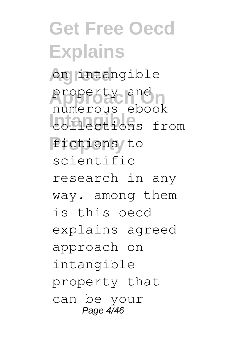**Get Free Oecd Explains Agreed** on intangible property and **Intangible** collections from **Property** fictions to numerous ebook scientific research in any way. among them is this oecd explains agreed approach on intangible property that can be your Page 4/46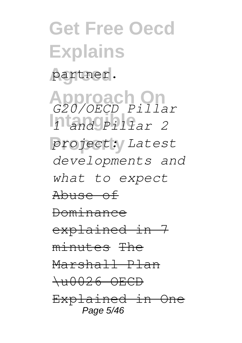**Get Free Oecd Explains** partner. **Approach On** *G20/OECD Pillar* **Intangible** *1 and Pillar 2* **Property** *project: Latest developments and what to expect* Abuse of Dominance explained in 7 minutes The Marshall Plan \u0026 OECD Explained in One Page 5/46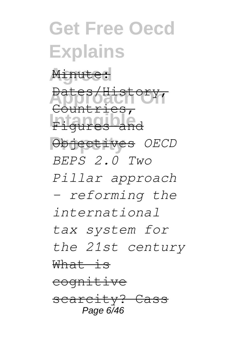### **Get Free Oecd Explains** Minute: **Approach On** Dates/History, Figures and **Property** Objectives *OECD* Countries, *BEPS 2.0 Two Pillar approach - reforming the international tax system for the 21st century* What is cognitive scarcity? Ca Page 6/46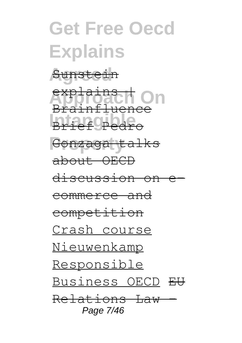### **Get Free Oecd Explains Agreed** Sunstein exp<del>lains I</del> On **Intangible** Brief Pedro Gonzaga talks Brainfluence about OECD discussion on commerce and competition Crash course Nieuwenkamp Responsible Business OECD EU Relations Law – Page 7/46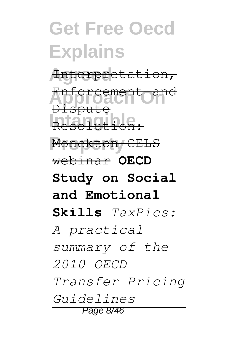#### **Get Free Oecd Explains Agreed** Interpretation, <del>Enforcement ar</del><br>Approach<br><del>Dispute</del> **Integrate Property** Monckton-CELS Enforceme Resolution: webinar **OECD Study on Social and Emotional Skills** *TaxPics: A practical summary of the 2010 OECD Transfer Pricing Guidelines* Page 8/46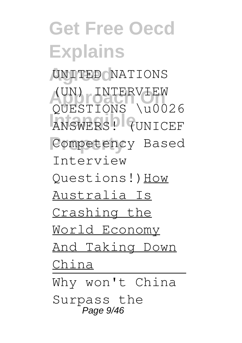### **Get Free Oecd Explains** UNITED **NATIONS** (UN) INTERVIEW **Intangible** ANSWERS! (UNICEF Competency Based QUESTIONS \u0026 Interview Questions!)How Australia Is Crashing the World Economy And Taking Down China Why won't China Surpass the Page 9/46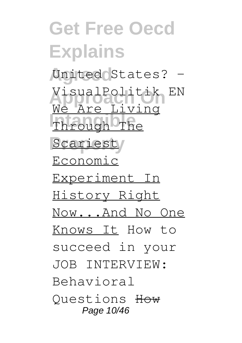**Get Free Oecd Explains Agreed** United States? - **Approach On** VisualPolitik EN **Intangible** Through The Scariest/ We Are Living Economic Experiment In History Right Now...And No One Knows It How to succeed in your JOB INTERVIEW: Behavioral Questions How Page 10/46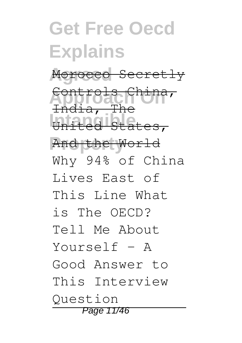### **Get Free Oecd Explains Agreed** Morocco Secretly **Approach On** Controls China, **Intangible** United States, **Property** And the World India, The Why 94% of China Lives East of This Line What is The OECD? Tell Me About Yourself - A Good Answer to This Interview Question Page 11/46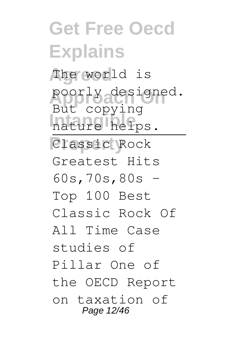**Get Free Oecd Explains Agreed** The world is poorly designed. nature helps. **Property** Classic Rock But copying Greatest Hits 60s,70s,80s - Top 100 Best Classic Rock Of All Time Case studies of Pillar One of the OECD Report on taxation of Page 12/46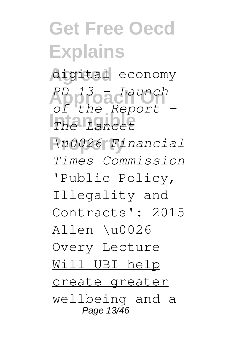# **Get Free Oecd Explains**

**Agreed** digital economy **Approach On** *PD 13 - Launch* **Intangible** *The Lancet of the Report -*

**Property** *\u0026 Financial Times Commission*

'Public Policy, Illegality and Contracts': 2015 Allen \u0026 Overy Lecture Will UBI help create greater wellbeing and a

Page 13/46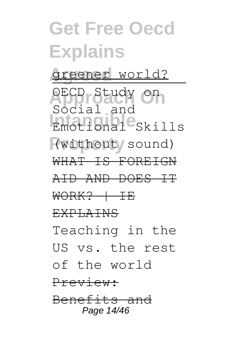### **Get Free Oecd Explains Agreed** greener world? **Approach On** OECD Study on Emotional<sup>e</sup>Skills (without sound) Social and WHAT IS FOREIGN AID AND DOES IT WORK? | IE EXPLAINS Teaching in the US vs. the rest of the world Preview: Benefits and Page 14/46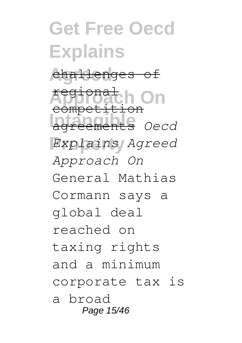#### **Get Free Oecd Explains Agreed** challenges of **Approach On Intangible** agreements *Oecd* **Property** *Explains Agreed* regional compe *Approach On* General Mathias Cormann says a global deal reached on taxing rights and a minimum corporate tax is a broad Page 15/46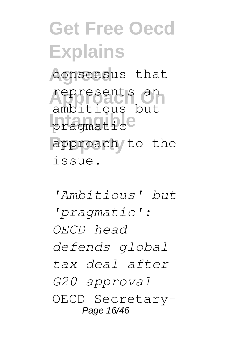### **Get Free Oecd Explains** consensus that **Approach On** represents an pragmatic<sup>e</sup> approach to the ambitious but issue.

*'Ambitious' but 'pragmatic': OECD head defends global tax deal after G20 approval* OECD Secretary-Page 16/46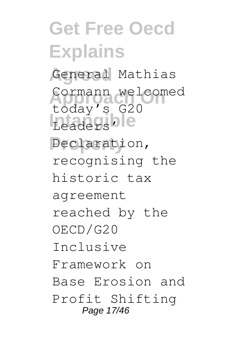**Get Free Oecd Explains** General Mathias Cormann welcomed Leaders<sup>ble</sup> **Property** Declaration, today's G20 recognising the historic tax agreement reached by the OECD/G20 Inclusive Framework on Base Erosion and Profit Shifting Page 17/46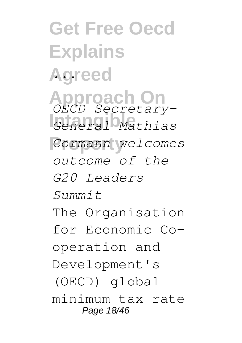**Get Free Oecd Explains Agreed** ... **Approach On** *OECD Secretary-***Intangible** *General Mathias* **Property** *Cormann welcomes outcome of the G20 Leaders Summit* The Organisation for Economic Cooperation and Development's (OECD) global minimum tax rate Page 18/46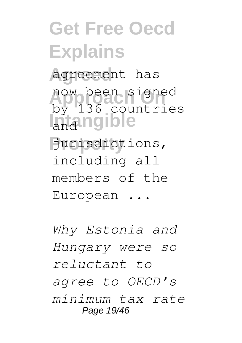## **Get Free Oecd Explains**

**Agreed** agreement has now been signed **Intangible** by 136 countries

**Property** jurisdictions, including all members of the European ...

*Why Estonia and Hungary were so reluctant to agree to OECD's minimum tax rate* Page 19/46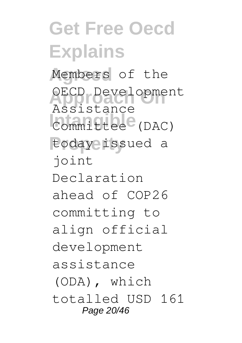### **Get Free Oecd Explains** Members of the OECD Development **Intangible** Committee (DAC) **Property** today issued a Assistance joint Declaration ahead of COP26 committing to align official development assistance (ODA), which totalled USD 161 Page 20/46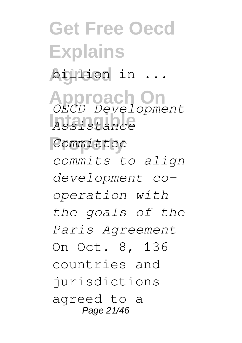**Get Free Oecd Explains Agreed** billion in ... **Approach On** *OECD Development* **Intangible** *Assistance* **Property** *Committee commits to align development cooperation with the goals of the Paris Agreement* On Oct. 8, 136 countries and jurisdictions agreed to a Page 21/46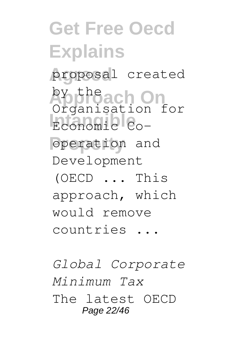### **Get Free Oecd Explains Agreed** proposal created **Approach On** by the Economic<sup>1</sup> Co-**Property** operation and Organisation for Development (OECD ... This approach, which would remove countries ...

*Global Corporate Minimum Tax* The latest OECD Page 22/46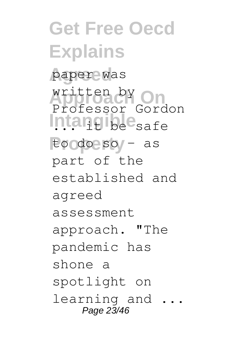**Get Free Oecd Explains Agreed** paper was written by On Intangible<sub>safe</sub> **Property** to do so – as Professor Gordon part of the established and agreed assessment approach. "The pandemic has shone a spotlight on learning and ... Page 23/46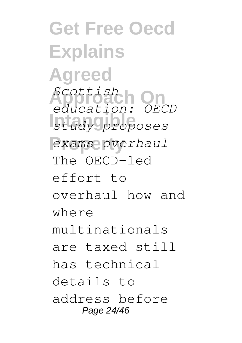**Get Free Oecd Explains Agreed Approach On** *Scottish* **Intangible** *study proposes*  $exams$  overhaul *education: OECD* The OECD-led effort to overhaul how and where multinationals are taxed still has technical details to address before Page 24/46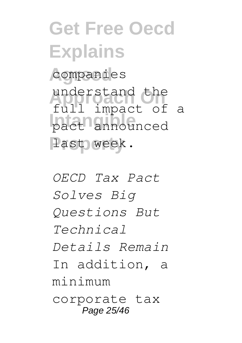### **Get Free Oecd Explains** companies understand the pact announced last week. full impact of a

*OECD Tax Pact Solves Big Questions But Technical Details Remain* In addition, a minimum corporate tax Page 25/46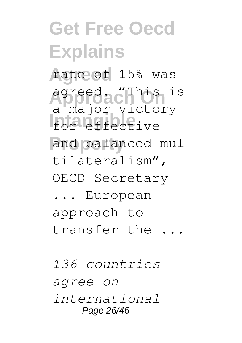## **Get Free Oecd Explains Agreed** rate of 15% was **Approach On** agreed. "This is **Integrate** and balanced mul a major victory tilateralism", OECD Secretary ... European approach to transfer the ... *136 countries*

*agree on international* Page 26/46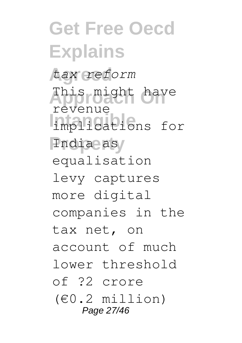**Get Free Oecd Explains Agreed** *tax reform* **Approach On** This might have **Intangible** implications for India as revenue equalisation levy captures more digital companies in the tax net, on account of much lower threshold of ?2 crore (€0.2 million) Page 27/46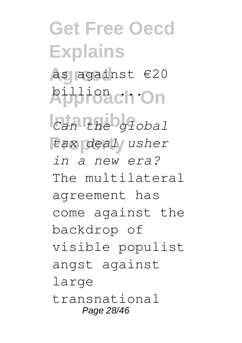### **Get Free Oecd Explains Agreed** as against €20 **Approach On** billion ...  $Can$ <sup>the global</sup> **Property** *tax deal usher in a new era?* The multilateral agreement has come against the backdrop of visible populist angst against large transnational Page 28/46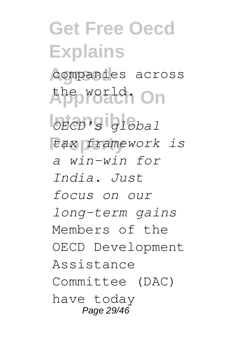**Get Free Oecd Explains** companies across **Approach On** the world. **Intangible** *OECD's global*  $\frac{1}{2}$ *a win-win for India. Just focus on our long-term gains* Members of the OECD Development Assistance Committee (DAC) have today Page 29/46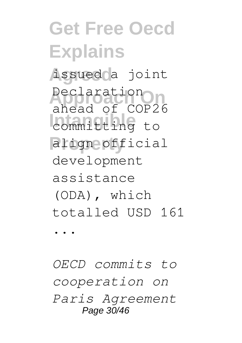# **Get Free Oecd Explains**

**Agreed** issued a joint **Declaration Internal Committing** to **Property** align official ahead of COP26 development assistance (ODA), which totalled USD 161

...

*OECD commits to cooperation on Paris Agreement* Page 30/46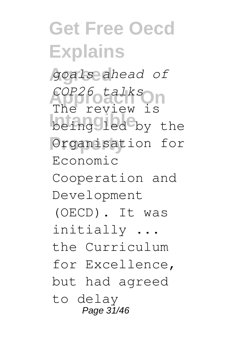### **Get Free Oecd Explains Agreed** *goals ahead of* **Approach On** *COP26 talks* **Intangible** being led by the **Property** Organisation for The review is Economic Cooperation and Development (OECD). It was initially ... the Curriculum for Excellence, but had agreed to delay Page 31/46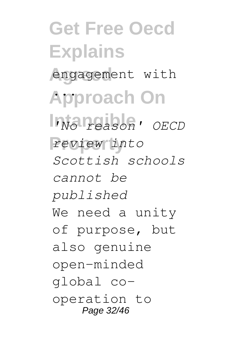**Get Free Oecd Explains** engagement with **Approach On** ... **Intangible** *'No reason' OECD* **Property** *review into Scottish schools cannot be published* We need a unity of purpose, but also genuine open-minded global cooperation to Page 32/46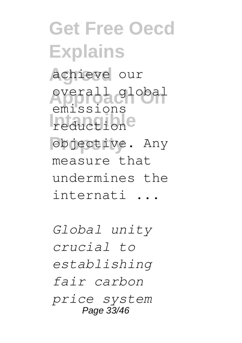**Get Free Oecd Explains Agreed** achieve our **Approach On** overall global **Integration Property** objective. Any emissions measure that undermines the internati ...

*Global unity crucial to establishing fair carbon price system* Page 33/46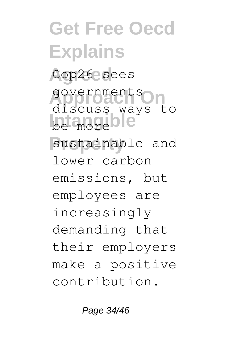**Get Free Oecd Explains** Cop26 sees **Approach On** governments be more ble sustainable and discuss ways to lower carbon emissions, but employees are increasingly demanding that their employers make a positive contribution.

Page 34/46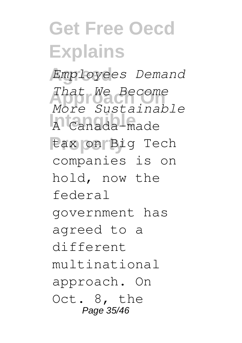### **Get Free Oecd Explains Agreed** *Employees Demand* **Approach On** *That We Become* **Intangible** A Canada-made **Property** tax on Big Tech *More Sustainable* companies is on hold, now the federal government has agreed to a different multinational approach. On Oct. 8, the Page 35/46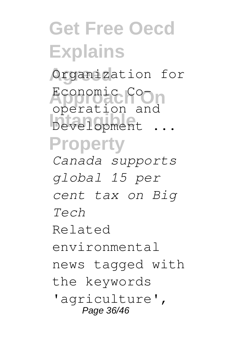## **Get Free Oecd Explains**

**Agreed** Organization for

**Approach On** Economic Co-**Intangible** Development ... **Property** operation and

*Canada supports global 15 per cent tax on Big Tech* Related environmental news tagged with the keywords

'agriculture', Page 36/46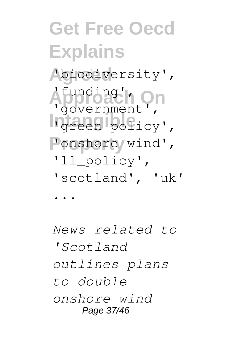## **Get Free Oecd Explains Agreed** 'biodiversity', **Approach On** 'funding', 'government',

- In<sub>green</sub> policy',
- 'onshore wind',
	- 'll\_policy',
	- 'scotland', 'uk'

...

*News related to 'Scotland outlines plans to double onshore wind* Page 37/46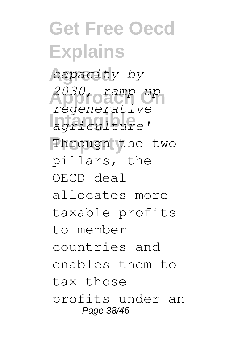**Get Free Oecd Explains Agreed** *capacity by* **Approach On** *2030, ramp up* **Intangible** *agriculture'* Through the two *regenerative* pillars, the OECD deal allocates more taxable profits to member countries and enables them to tax those profits under an Page 38/46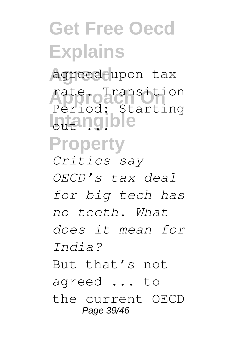### **Get Free Oecd Explains Agreed** agreed-upon tax **Approach On** rate. Transition **Intangible Property** Period: Starting *Critics say OECD's tax deal for big tech has no teeth. What does it mean for India?* But that's not agreed ... to the current OECD Page 39/46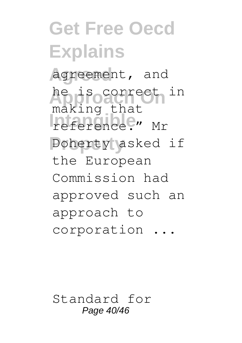### **Get Free Oecd Explains Agreed** agreement, and he is correct in **Induiting Strate Property** Doherty asked if making that the European Commission had approved such an approach to corporation ...

Standard for Page 40/46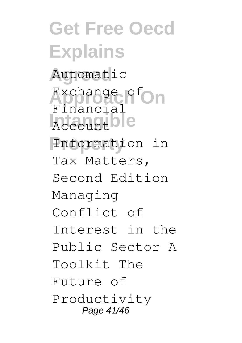**Get Free Oecd Explains Agreed** Automatic Exchange of On **International Property** Information in Financial Tax Matters, Second Edition Managing Conflict of Interest in the Public Sector A Toolkit The Future of Productivity Page 41/46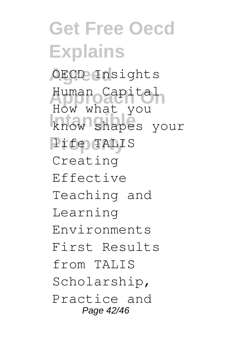**Get Free Oecd Explains Agreed** OECD Insights **Approach On** Human Capital **International Production Property** life TALIS How what you Creating Effective Teaching and Learning Environments First Results from TALIS Scholarship, Practice and Page 42/46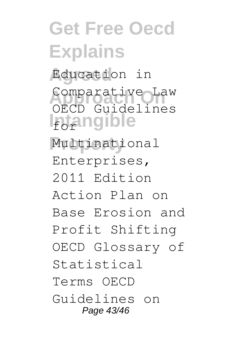### **Get Free Oecd Explains Agreed** Education in Comparative Law **Intangible Property** Multinational OECD Guidelines Enterprises, 2011 Edition Action Plan on Base Erosion and Profit Shifting OECD Glossary of Statistical Terms OECD Guidelines on Page 43/46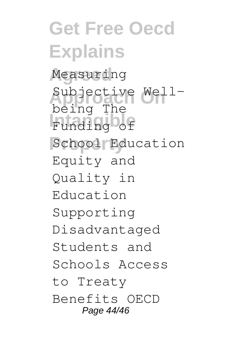**Get Free Oecd Explains Agreed** Measuring Subjective Well-Funding of School Education being The Equity and Quality in Education Supporting Disadvantaged Students and Schools Access to Treaty Benefits OECD Page 44/46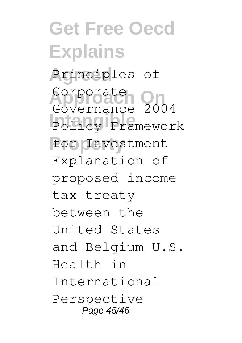**Get Free Oecd Explains** Principles of **Approach On** Corporate Policy Framework **Property** for Investment Governance 2004 Explanation of proposed income tax treaty between the United States and Belgium U.S. Health in International Perspective Page 45/46